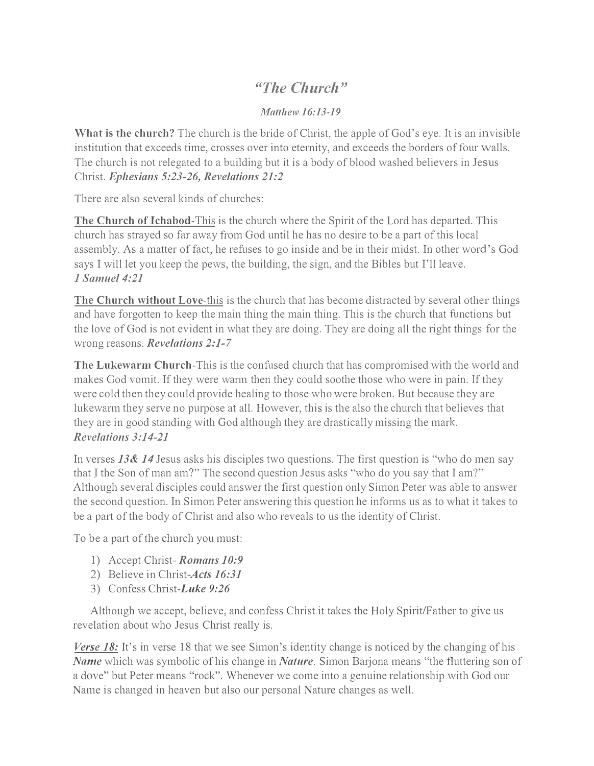## *"The Church"*

## *Matthew 16:13-19*

**What is the church?** The church is the bride of Christ, the apple of God's eye. It is an invisible . institution that exceeds time, crosses over into eternity, and exceeds the borders of four walls. The church is not relegated to a building but it is a body of blood washed believers in Jesus Christ. *Ephesians 5:23-26, Revelations 21:2* 

There are also several kinds of churches:

**The Church of Ichabod-This** is the church where the Spirit of the Lord has departed. This church has strayed so far away from God until he has no desire to be a part of this local assembly. As a matter of fact, he refuses to go inside and be in their midst. In other word's God says I will let you keep the pews, the building, the sign, and the Bibles but I'll leave. *1 Samuel 4:21* 

**The Church without Love-this** is the church that has become distracted by several other things and have forgotten to keep the main thing the main thing. This is the church that functions but the love of God is not evident in what they are doing. They are doing all the right things for the wrong reasons. *Revelations 2:1-7* 

**The Lukewarm Church-This** is the confused church that has compromised with the world and makes God vomit. If they were wann then they could soothe those who were in pain. If they were cold then they could provide healing to those who were broken. But because they are lukewarm they serve no purpose at all. However, this is the also the church that believes that they are in good standing with God although they are drastically missing the mark. *Revelations 3:14-21* 

In verses *13& 14* Jesus asks his disciples two questions. The first question is "who do men say that l the Son of man am?" The second question Jesus asks "who do you say that I am?" . Although several disciples could answer the first question only Simon Peter was able to answer the second question. In Simon Peter answering this question he infonns us as to what it takes to be a part of the body of Christ and also who reveals to us the identity of Christ.

To be a part of the church you must:

- 1) Accept Christ- *Romans 10:9*
- 2) Believe in Christ-Acts *16:31*
- 3) Confess *Christ-Luke 9:26*

Although we accept, believe, and confess Christ it takes the Holy Spirit/Father to give us revelation about who Jesus Christ really is.

*Verse 18:* It's in verse 18 that we see Simon's identity change is noticed by the changing of his *Name* which was symbolic of his change in *Nature*. Simon Barjona means "the fluttering son of a dove" but Peter means "rock". Whenever we come into a genuine relationship with God our Name is changed in heaven but also our personal Nature changes as well.